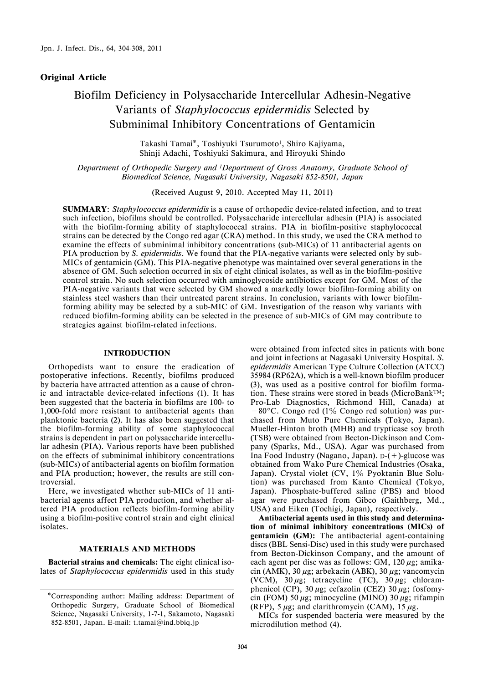### Original Article

# Biofilm Deficiency in Polysaccharide Intercellular Adhesin-Negative Variants of Staphylococcus epidermidis Selected by Subminimal Inhibitory Concentrations of Gentamicin

Takashi Tamai\*, Toshiyuki Tsurumoto<sup>1</sup>, Shiro Kajiyama, Shinji Adachi, Toshiyuki Sakimura, and Hiroyuki Shindo

Department of Orthopedic Surgery and 1Department of Gross Anatomy, Graduate School of Biomedical Science, Nagasaki University, Nagasaki 852-8501, Japan

(Received August 9, 2010. Accepted May 11, 2011)

SUMMARY: Staphylococcus epidermidis is a cause of orthopedic device-related infection, and to treat such infection, biofilms should be controlled. Polysaccharide intercellular adhesin (PIA) is associated with the biofilm-forming ability of staphylococcal strains. PIA in biofilm-positive staphylococcal strains can be detected by the Congo red agar (CRA) method. In this study, we used the CRA method to examine the effects of subminimal inhibitory concentrations (sub-MICs) of 11 antibacterial agents on PIA production by S. *epidermidis*. We found that the PIA-negative variants were selected only by sub-MICs of gentamicin (GM). This PIA-negative phenotype was maintained over several generations in the absence of GM. Such selection occurred in six of eight clinical isolates, as well as in the biofilm-positive control strain. No such selection occurred with aminoglycoside antibiotics except for GM. Most of the PIA-negative variants that were selected by GM showed a markedly lower biofilm-forming ability on stainless steel washers than their untreated parent strains. In conclusion, variants with lower biofilmforming ability may be selected by a sub-MIC of GM. Investigation of the reason why variants with reduced biofilm-forming ability can be selected in the presence of sub-MICs of GM may contribute to strategies against biofilm-related infections.

### INTRODUCTION

Orthopedists want to ensure the eradication of postoperative infections. Recently, biofilms produced by bacteria have attracted attention as a cause of chronic and intractable device-related infections (1). It has been suggested that the bacteria in biofilms are 100- to 1,000-fold more resistant to antibacterial agents than planktonic bacteria (2). It has also been suggested that the biofilm-forming ability of some staphylococcal strains is dependent in part on polysaccharide intercellular adhesin (PIA). Various reports have been published on the effects of subminimal inhibitory concentrations (sub-MICs) of antibacterial agents on biofilm formation and PIA production; however, the results are still controversial.

Here, we investigated whether sub-MICs of 11 antibacterial agents affect PIA production, and whether altered PIA production reflects biofilm-forming ability using a biofilm-positive control strain and eight clinical isolates.

#### MATERIALS AND METHODS

Bacterial strains and chemicals: The eight clinical isolates of Staphylococcus epidermidis used in this study

were obtained from infected sites in patients with bone and joint infections at Nagasaki University Hospital. S. epidermidis American Type Culture Collection (ATCC) 35984 (RP62A), which is a well-known biofilm producer (3), was used as a positive control for biofilm formation. These strains were stored in beads (MicroBank<sup>TM</sup>; Pro-Lab Diagnostics, Richmond Hill, Canada) at  $-80^{\circ}$ C. Congo red (1% Congo red solution) was purchased from Muto Pure Chemicals (Tokyo, Japan). Mueller-Hinton broth (MHB) and trypticase soy broth (TSB) were obtained from Becton-Dickinson and Company (Sparks, Md., USA). Agar was purchased from Ina Food Industry (Nagano, Japan). D-(+)-glucose was obtained from Wako Pure Chemical Industries (Osaka, Japan). Crystal violet (CV, 1% Pyoktanin Blue Solution) was purchased from Kanto Chemical (Tokyo, Japan). Phosphate-buffered saline (PBS) and blood agar were purchased from Gibco (Gaithberg, Md., USA) and Eiken (Tochigi, Japan), respectively.

Antibacterial agents used in this study and determination of minimal inhibitory concentrations (MICs) of gentamicin (GM): The antibacterial agent-containing discs (BBL Sensi-Disc) used in this study were purchased from Becton-Dickinson Company, and the amount of each agent per disc was as follows: GM,  $120 \mu$ g; amikacin (AMK), 30  $\mu$ g; arbekacin (ABK), 30  $\mu$ g; vancomycin (VCM),  $30 \mu$ g; tetracycline (TC),  $30 \mu$ g; chloramphenicol (CP), 30  $\mu$ g; cefazolin (CEZ) 30  $\mu$ g; fosfomycin (FOM) 50  $\mu$ g; minocycline (MINO) 30  $\mu$ g; rifampin (RFP), 5  $\mu$ g; and clarithromycin (CAM), 15  $\mu$ g.

MICs for suspended bacteria were measured by the microdilution method (4).

<sup>\*</sup>Corresponding author: Mailing address: Department of Orthopedic Surgery, Graduate School of Biomedical Science, Nagasaki University, 1-7-1, Sakamoto, Nagasaki 852-8501, Japan. E-mail: t.tamai@ind.bbiq.jp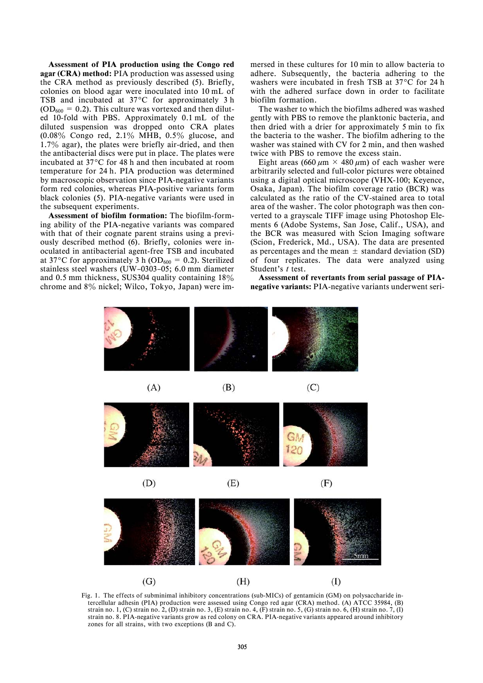Assessment of PIA production using the Congo red agar (CRA) method: PIA production was assessed using the CRA method as previously described (5). Briefly, colonies on blood agar were inoculated into 10 mL of TSB and incubated at  $37^{\circ}$ C for approximately 3 h  $(OD<sub>600</sub> = 0.2)$ . This culture was vortexed and then diluted 10-fold with PBS. Approximately 0.1 mL of the diluted suspension was dropped onto CRA plates  $(0.08\%$  Congo red, 2.1% MHB, 0.5% glucose, and 1.7% agar), the plates were briefly air-dried, and then the antibacterial discs were put in place. The plates were incubated at 37°C for 48 h and then incubated at room temperature for 24 h. PIA production was determined by macroscopic observation since PIA-negative variants form red colonies, whereas PIA-positive variants form black colonies (5). PIA-negative variants were used in the subsequent experiments.

Assessment of biofilm formation: The biofilm-forming ability of the PIA-negative variants was compared with that of their cognate parent strains using a previously described method (6). Briefly, colonies were inoculated in antibacterial agent-free TSB and incubated at 37°C for approximately 3 h (OD<sub>600</sub> = 0.2). Sterilized stainless steel washers (UW–0303–05; 6.0 mm diameter and  $0.5$  mm thickness, SUS304 quality containing  $18\%$ chrome and 8% nickel; Wilco, Tokyo, Japan) were im-

 $(G)$ 

mersed in these cultures for 10 min to allow bacteria to adhere. Subsequently, the bacteria adhering to the washers were incubated in fresh TSB at 37°C for 24 h with the adhered surface down in order to facilitate biofilm formation.

The washer to which the biofilms adhered was washed gently with PBS to remove the planktonic bacteria, and then dried with a drier for approximately 5 min to fix the bacteria to the washer. The biofilm adhering to the washer was stained with CV for 2 min, and then washed twice with PBS to remove the excess stain.

Eight areas (660  $\mu$ m × 480  $\mu$ m) of each washer were arbitrarily selected and full-color pictures were obtained using a digital optical microscope (VHX-100; Keyence, Osaka, Japan). The biofilm coverage ratio (BCR) was calculated as the ratio of the CV-stained area to total area of the washer. The color photograph was then converted to a grayscale TIFF image using Photoshop Elements 6 (Adobe Systems, San Jose, Calif., USA), and the BCR was measured with Scion Imaging software (Scion, Frederick, Md., USA). The data are presented as percentages and the mean  $\pm$  standard deviation (SD) of four replicates. The data were analyzed using Student's t test.

Assessment of revertants from serial passage of PIAnegative variants: PIA-negative variants underwent seri-

 $(I)$ 



Fig. 1. The effects of subminimal inhibitory concentrations (sub-MICs) of gentamicin (GM) on polysaccharide intercellular adhesin (PIA) production were assessed using Congo red agar (CRA) method. (A) ATCC 35984, (B) strain no. 1, (C) strain no. 2, (D) strain no. 3, (E) strain no. 4, (F) strain no. 5, (G) strain no. 6, (H) strain no. 7, (I) strain no. 8. PIA-negative variants grow as red colony on CRA. PIA-negative variants appeared around inhibitory zones for all strains, with two exceptions (B and C).

 $(H)$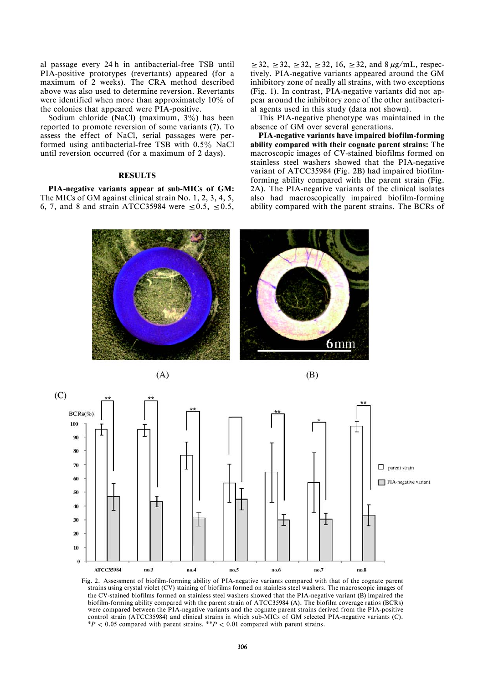al passage every 24 h in antibacterial-free TSB until PIA-positive prototypes (revertants) appeared (for a maximum of 2 weeks). The CRA method described above was also used to determine reversion. Revertants were identified when more than approximately  $10\%$  of the colonies that appeared were PIA-positive.

Sodium chloride (NaCl) (maximum,  $3\%$ ) has been reported to promote reversion of some variants (7). To assess the effect of NaCl, serial passages were performed using antibacterial-free TSB with  $0.5\%$  NaCl until reversion occurred (for a maximum of 2 days).

## **RESULTS**

PIA-negative variants appear at sub-MICs of GM: The MICs of GM against clinical strain No. 1, 2, 3, 4, 5, 6, 7, and 8 and strain ATCC35984 were  $\leq 0.5$ ,  $\leq 0.5$ ,

 $\geq 32, \geq 32, \geq 32, \geq 32, 16, \geq 32, \text{ and } 8 \mu\text{g/mL}, \text{respec-}$ tively. PIA-negative variants appeared around the GM inhibitory zone of neally all strains, with two exceptions (Fig. 1). In contrast, PIA-negative variants did not appear around the inhibitory zone of the other antibacterial agents used in this study (data not shown).

This PIA-negative phenotype was maintained in the absence of GM over several generations.

PIA-negative variants have impaired biofilm-forming ability compared with their cognate parent strains: The macroscopic images of CV-stained biofilms formed on stainless steel washers showed that the PIA-negative variant of ATCC35984 (Fig. 2B) had impaired biofilmforming ability compared with the parent strain (Fig. 2A). The PIA-negative variants of the clinical isolates also had macroscopically impaired biofilm-forming ability compared with the parent strains. The BCRs of





Fig. 2. Assessment of biofilm-forming ability of PIA-negative variants compared with that of the cognate parent strains using crystal violet (CV) staining of biofilms formed on stainless steel washers. The macroscopic images of the CV-stained biofilms formed on stainless steel washers showed that the PIA-negative variant (B) impaired the biofilm-forming ability compared with the parent strain of ATCC35984 (A). The biofilm coverage ratios (BCRs) were compared between the PIA-negative variants and the cognate parent strains derived from the PIA-positive control strain (ATCC35984) and clinical strains in which sub-MICs of GM selected PIA-negative variants (C).  $*P < 0.05$  compared with parent strains.  $*P < 0.01$  compared with parent strains.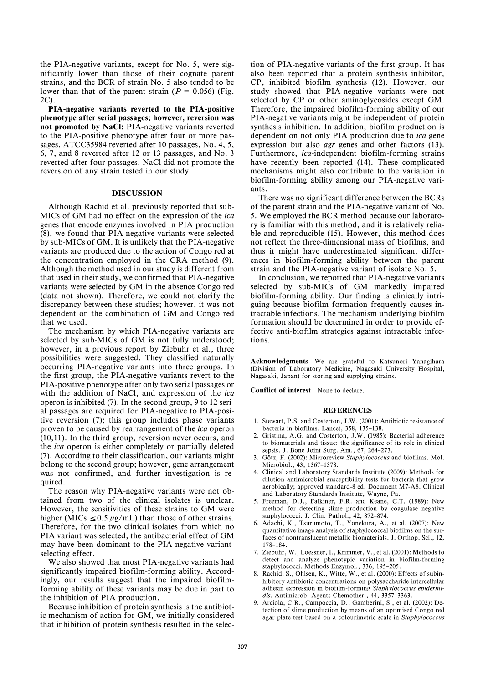the PIA-negative variants, except for No. 5, were significantly lower than those of their cognate parent strains, and the BCR of strain No. 5 also tended to be lower than that of the parent strain ( $P = 0.056$ ) (Fig. 2C).

PIA-negative variants reverted to the PIA-positive phenotype after serial passages; however, reversion was not promoted by NaCl: PIA-negative variants reverted to the PIA-positive phenotype after four or more passages. ATCC35984 reverted after 10 passages, No. 4, 5, 6, 7, and 8 reverted after 12 or 13 passages, and No. 3 reverted after four passages. NaCl did not promote the reversion of any strain tested in our study.

#### DISCUSSION

Although Rachid et al. previously reported that sub-MICs of GM had no effect on the expression of the ica genes that encode enzymes involved in PIA production (8), we found that PIA-negative variants were selected by sub-MICs of GM. It is unlikely that the PIA-negative variants are produced due to the action of Congo red at the concentration employed in the CRA method (9). Although the method used in our study is different from that used in their study, we confirmed that PIA-negative variants were selected by GM in the absence Congo red (data not shown). Therefore, we could not clarify the discrepancy between these studies; however, it was not dependent on the combination of GM and Congo red that we used.

The mechanism by which PIA-negative variants are selected by sub-MICs of GM is not fully understood; however, in a previous report by Ziebuhr et al., three possibilities were suggested. They classified naturally occurring PIA-negative variants into three groups. In the first group, the PIA-negative variants revert to the PIA-positive phenotype after only two serial passages or with the addition of NaCl, and expression of the ica operon is inhibited (7). In the second group, 9 to 12 serial passages are required for PIA-negative to PIA-positive reversion (7); this group includes phase variants proven to be caused by rearrangement of the ica operon (10,11). In the third group, reversion never occurs, and the ica operon is either completely or partially deleted (7). According to their classification, our variants might belong to the second group; however, gene arrangement was not confirmed, and further investigation is required.

The reason why PIA-negative variants were not obtained from two of the clinical isolates is unclear. However, the sensitivities of these strains to GM were higher (MICs  $\leq$  0.5  $\mu$ g/mL) than those of other strains. Therefore, for the two clinical isolates from which no PIA variant was selected, the antibacterial effect of GM may have been dominant to the PIA-negative variantselecting effect.

We also showed that most PIA-negative variants had significantly impaired biofilm-forming ability. Accordingly, our results suggest that the impaired biofilmforming ability of these variants may be due in part to the inhibition of PIA production.

Because inhibition of protein synthesis is the antibiotic mechanism of action for GM, we initially considered that inhibition of protein synthesis resulted in the selection of PIA-negative variants of the first group. It has also been reported that a protein synthesis inhibitor, CP, inhibited biofilm synthesis (12). However, our study showed that PIA-negative variants were not selected by CP or other aminoglycosides except GM. Therefore, the impaired biofilm-forming ability of our PIA-negative variants might be independent of protein synthesis inhibition. In addition, biofilm production is dependent on not only PIA production due to ica gene expression but also agr genes and other factors (13). Furthermore, ica-independent biofilm-forming strains have recently been reported (14). These complicated mechanisms might also contribute to the variation in biofilm-forming ability among our PIA-negative variants.

There was no significant difference between the BCRs of the parent strain and the PIA-negative variant of No. 5. We employed the BCR method because our laboratory is familiar with this method, and it is relatively reliable and reproducible (15). However, this method does not reflect the three-dimensional mass of biofilms, and thus it might have underestimated significant differences in biofilm-forming ability between the parent strain and the PIA-negative variant of isolate No. 5.

In conclusion, we reported that PIA-negative variants selected by sub-MICs of GM markedly impaired biofilm-forming ability. Our finding is clinically intriguing because biofilm formation frequently causes intractable infections. The mechanism underlying biofilm formation should be determined in order to provide effective anti-biofilm strategies against intractable infections.

Acknowledgments We are grateful to Katsunori Yanagihara (Division of Laboratory Medicine, Nagasaki University Hospital, Nagasaki, Japan) for storing and supplying strains.

Conflict of interest None to declare.

#### **REFERENCES**

- 1. Stewart, P.S. and Costerton, J.W. (2001): Antibiotic resistance of bacteria in biofilms. Lancet, 358, 135–138.
- 2. Gristina, A.G. and Costerton, J.W. (1985): Bacterial adherence to biomaterials and tissue: the significance of its role in clinical sepsis. J. Bone Joint Surg. Am., 67, 264–273.
- 3. Götz, F. (2002): Microreview Staphylococcus and bioflims. Mol. Microbiol., 43, 1367–1378.
- 4. Clinical and Laboratory Standards Institute (2009): Methods for dilution antimicrobial susceptibility tests for bacteria that grow aerobically; approved standard-8 ed. Document M7-A8. Clinical and Laboratory Standards Institute, Wayne, Pa.
- 5. Freeman, D.J., Falkiner, F.R. and Keane, C.T. (1989): New method for detecting slime production by coagulase negative staphylococci. J. Clin. Pathol., 42, 872–874.
- 6. Adachi, K., Tsurumoto, T., Yonekura, A., et al. (2007): New quantitative image analysis of staphylococcal biofilms on the surfaces of nontranslucent metallic biomaterials. J. Orthop. Sci., 12, 178–184.
- 7. Ziebuhr, W., Loessner, I., Krimmer, V., et al. (2001): Methods to detect and analyze phenotypic variation in biofilm-forming staphylococci. Methods Enzymol., 336, 195–205.
- Rachid, S., Ohlsen, K., Witte, W., et al. (2000): Effects of subinhibitory antibiotic concentrations on polysaccharide intercellular adhesin expression in biofilm-forming Staphylococcus epidermidis. Antimicrob. Agents Chemother., 44, 3357–3363.
- 9. Arciola, C.R., Campoccia, D., Gamberini, S., et al. (2002): Detection of slime production by means of an optimised Congo red agar plate test based on a colourimetric scale in Staphylococcus